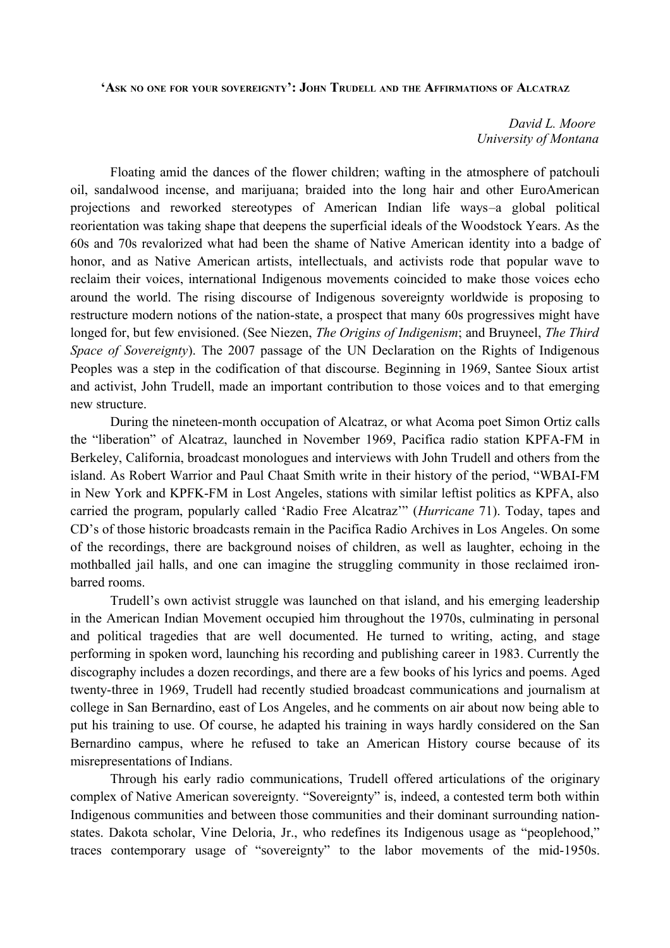**'ASK NO ONE FOR YOUR SOVEREIGNTY': JOHN TRUDELL AND THE AFFIRMATIONS OF ALCATRAZ**

*David L. Moore University of Montana*

Floating amid the dances of the flower children; wafting in the atmosphere of patchouli oil, sandalwood incense, and marijuana; braided into the long hair and other EuroAmerican projections and reworked stereotypes of American Indian life ways–a global political reorientation was taking shape that deepens the superficial ideals of the Woodstock Years. As the 60s and 70s revalorized what had been the shame of Native American identity into a badge of honor, and as Native American artists, intellectuals, and activists rode that popular wave to reclaim their voices, international Indigenous movements coincided to make those voices echo around the world. The rising discourse of Indigenous sovereignty worldwide is proposing to restructure modern notions of the nation-state, a prospect that many 60s progressives might have longed for, but few envisioned. (See Niezen, *The Origins of Indigenism*; and Bruyneel, *The Third Space of Sovereignty*). The 2007 passage of the UN Declaration on the Rights of Indigenous Peoples was a step in the codification of that discourse. Beginning in 1969, Santee Sioux artist and activist, John Trudell, made an important contribution to those voices and to that emerging new structure.

During the nineteen-month occupation of Alcatraz, or what Acoma poet Simon Ortiz calls the "liberation" of Alcatraz, launched in November 1969, Pacifica radio station KPFA-FM in Berkeley, California, broadcast monologues and interviews with John Trudell and others from the island. As Robert Warrior and Paul Chaat Smith write in their history of the period, "WBAI-FM in New York and KPFK-FM in Lost Angeles, stations with similar leftist politics as KPFA, also carried the program, popularly called 'Radio Free Alcatraz'" (*Hurricane* 71). Today, tapes and CD's of those historic broadcasts remain in the Pacifica Radio Archives in Los Angeles. On some of the recordings, there are background noises of children, as well as laughter, echoing in the mothballed jail halls, and one can imagine the struggling community in those reclaimed ironbarred rooms.

Trudell's own activist struggle was launched on that island, and his emerging leadership in the American Indian Movement occupied him throughout the 1970s, culminating in personal and political tragedies that are well documented. He turned to writing, acting, and stage performing in spoken word, launching his recording and publishing career in 1983. Currently the discography includes a dozen recordings, and there are a few books of his lyrics and poems. Aged twenty-three in 1969, Trudell had recently studied broadcast communications and journalism at college in San Bernardino, east of Los Angeles, and he comments on air about now being able to put his training to use. Of course, he adapted his training in ways hardly considered on the San Bernardino campus, where he refused to take an American History course because of its misrepresentations of Indians.

Through his early radio communications, Trudell offered articulations of the originary complex of Native American sovereignty. "Sovereignty" is, indeed, a contested term both within Indigenous communities and between those communities and their dominant surrounding nationstates. Dakota scholar, Vine Deloria, Jr., who redefines its Indigenous usage as "peoplehood," traces contemporary usage of "sovereignty" to the labor movements of the mid-1950s.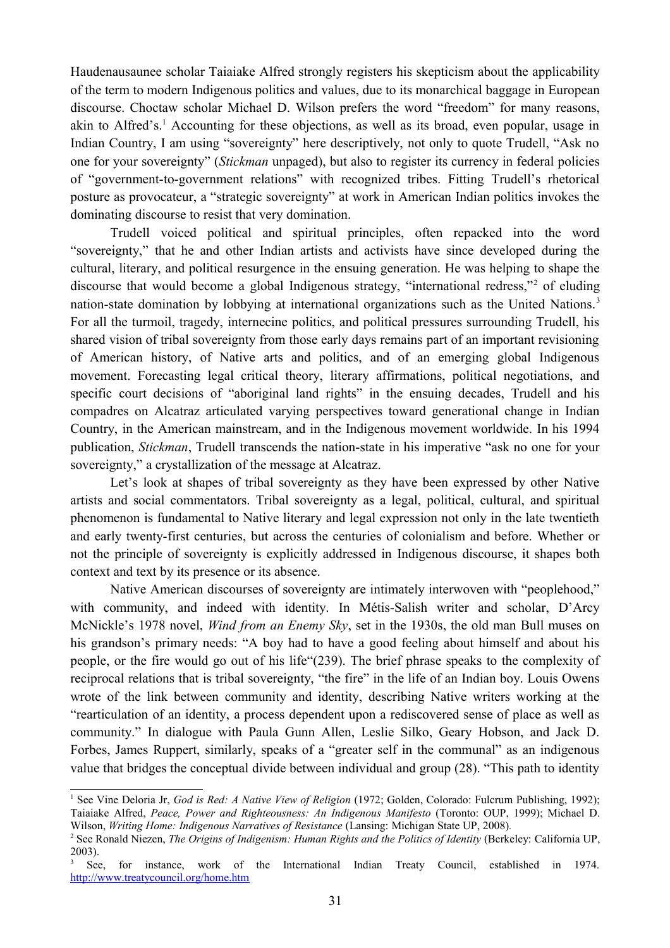Haudenausaunee scholar Taiaiake Alfred strongly registers his skepticism about the applicability of the term to modern Indigenous politics and values, due to its monarchical baggage in European discourse. Choctaw scholar Michael D. Wilson prefers the word "freedom" for many reasons, akin to Alfred's.<sup>[1](#page-1-0)</sup> Accounting for these objections, as well as its broad, even popular, usage in Indian Country, I am using "sovereignty" here descriptively, not only to quote Trudell, "Ask no one for your sovereignty" (*Stickman* unpaged), but also to register its currency in federal policies of "government-to-government relations" with recognized tribes. Fitting Trudell's rhetorical posture as provocateur, a "strategic sovereignty" at work in American Indian politics invokes the dominating discourse to resist that very domination.

Trudell voiced political and spiritual principles, often repacked into the word "sovereignty," that he and other Indian artists and activists have since developed during the cultural, literary, and political resurgence in the ensuing generation. He was helping to shape the discourse that would become a global Indigenous strategy, "international redress,"<sup>[2](#page-1-1)</sup> of eluding nation-state domination by lobbying at international organizations such as the United Nations.<sup>[3](#page-1-2)</sup> For all the turmoil, tragedy, internecine politics, and political pressures surrounding Trudell, his shared vision of tribal sovereignty from those early days remains part of an important revisioning of American history, of Native arts and politics, and of an emerging global Indigenous movement. Forecasting legal critical theory, literary affirmations, political negotiations, and specific court decisions of "aboriginal land rights" in the ensuing decades, Trudell and his compadres on Alcatraz articulated varying perspectives toward generational change in Indian Country, in the American mainstream, and in the Indigenous movement worldwide. In his 1994 publication, *Stickman*, Trudell transcends the nation-state in his imperative "ask no one for your sovereignty," a crystallization of the message at Alcatraz.

Let's look at shapes of tribal sovereignty as they have been expressed by other Native artists and social commentators. Tribal sovereignty as a legal, political, cultural, and spiritual phenomenon is fundamental to Native literary and legal expression not only in the late twentieth and early twenty-first centuries, but across the centuries of colonialism and before. Whether or not the principle of sovereignty is explicitly addressed in Indigenous discourse, it shapes both context and text by its presence or its absence.

Native American discourses of sovereignty are intimately interwoven with "peoplehood," with community, and indeed with identity. In Métis-Salish writer and scholar, D'Arcy McNickle's 1978 novel, *Wind from an Enemy Sky*, set in the 1930s, the old man Bull muses on his grandson's primary needs: "A boy had to have a good feeling about himself and about his people, or the fire would go out of his life"(239). The brief phrase speaks to the complexity of reciprocal relations that is tribal sovereignty, "the fire" in the life of an Indian boy. Louis Owens wrote of the link between community and identity, describing Native writers working at the "rearticulation of an identity, a process dependent upon a rediscovered sense of place as well as community." In dialogue with Paula Gunn Allen, Leslie Silko, Geary Hobson, and Jack D. Forbes, James Ruppert, similarly, speaks of a "greater self in the communal" as an indigenous value that bridges the conceptual divide between individual and group (28). "This path to identity

<span id="page-1-0"></span><sup>&</sup>lt;sup>1</sup> See Vine Deloria Jr, *God is Red: A Native View of Religion* (1972; Golden, Colorado: Fulcrum Publishing, 1992); Taiaiake Alfred, *Peace, Power and Righteousness: An Indigenous Manifesto* (Toronto: OUP, 1999); Michael D. Wilson, *Writing Home: Indigenous Narratives of Resistance* (Lansing: Michigan State UP, 2008)*.*

<span id="page-1-1"></span><sup>&</sup>lt;sup>2</sup> See Ronald Niezen, *The Origins of Indigenism: Human Rights and the Politics of Identity (Berkeley: California UP,* 2003).

<span id="page-1-2"></span><sup>3</sup> See, for instance, work of the International Indian Treaty Council, established in 1974. <http://www.treatycouncil.org/home.htm>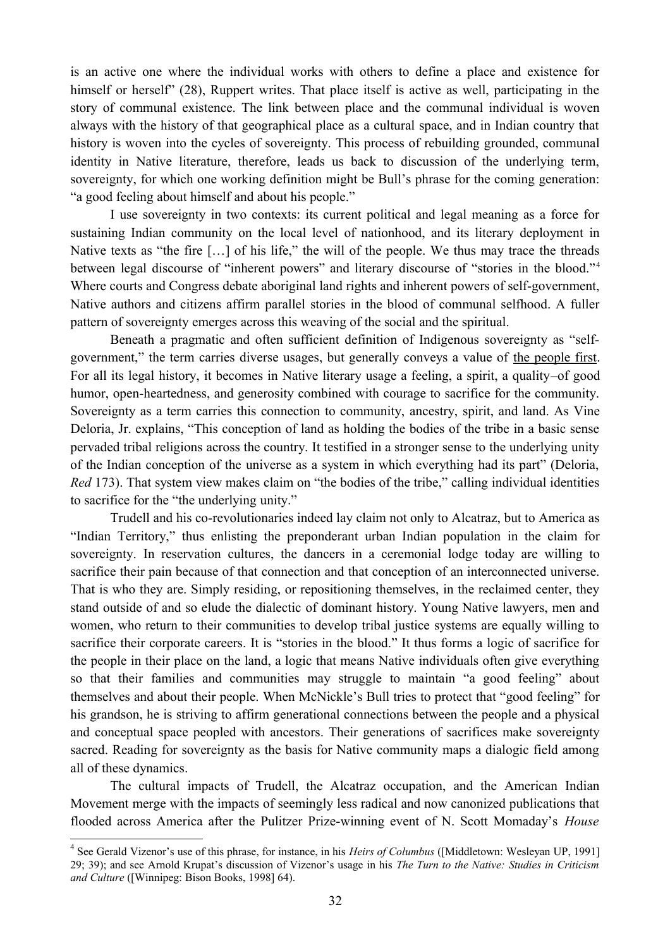is an active one where the individual works with others to define a place and existence for himself or herself" (28), Ruppert writes. That place itself is active as well, participating in the story of communal existence. The link between place and the communal individual is woven always with the history of that geographical place as a cultural space, and in Indian country that history is woven into the cycles of sovereignty. This process of rebuilding grounded, communal identity in Native literature, therefore, leads us back to discussion of the underlying term, sovereignty, for which one working definition might be Bull's phrase for the coming generation: "a good feeling about himself and about his people."

I use sovereignty in two contexts: its current political and legal meaning as a force for sustaining Indian community on the local level of nationhood, and its literary deployment in Native texts as "the fire […] of his life," the will of the people. We thus may trace the threads between legal discourse of "inherent powers" and literary discourse of "stories in the blood."<sup>[4](#page-2-0)</sup> Where courts and Congress debate aboriginal land rights and inherent powers of self-government, Native authors and citizens affirm parallel stories in the blood of communal selfhood. A fuller pattern of sovereignty emerges across this weaving of the social and the spiritual.

Beneath a pragmatic and often sufficient definition of Indigenous sovereignty as "selfgovernment," the term carries diverse usages, but generally conveys a value of the people first. For all its legal history, it becomes in Native literary usage a feeling, a spirit, a quality–of good humor, open-heartedness, and generosity combined with courage to sacrifice for the community. Sovereignty as a term carries this connection to community, ancestry, spirit, and land. As Vine Deloria, Jr. explains, "This conception of land as holding the bodies of the tribe in a basic sense pervaded tribal religions across the country. It testified in a stronger sense to the underlying unity of the Indian conception of the universe as a system in which everything had its part" (Deloria, *Red* 173). That system view makes claim on "the bodies of the tribe," calling individual identities to sacrifice for the "the underlying unity."

Trudell and his co-revolutionaries indeed lay claim not only to Alcatraz, but to America as "Indian Territory," thus enlisting the preponderant urban Indian population in the claim for sovereignty. In reservation cultures, the dancers in a ceremonial lodge today are willing to sacrifice their pain because of that connection and that conception of an interconnected universe. That is who they are. Simply residing, or repositioning themselves, in the reclaimed center, they stand outside of and so elude the dialectic of dominant history. Young Native lawyers, men and women, who return to their communities to develop tribal justice systems are equally willing to sacrifice their corporate careers. It is "stories in the blood." It thus forms a logic of sacrifice for the people in their place on the land, a logic that means Native individuals often give everything so that their families and communities may struggle to maintain "a good feeling" about themselves and about their people. When McNickle's Bull tries to protect that "good feeling" for his grandson, he is striving to affirm generational connections between the people and a physical and conceptual space peopled with ancestors. Their generations of sacrifices make sovereignty sacred. Reading for sovereignty as the basis for Native community maps a dialogic field among all of these dynamics.

The cultural impacts of Trudell, the Alcatraz occupation, and the American Indian Movement merge with the impacts of seemingly less radical and now canonized publications that flooded across America after the Pulitzer Prize-winning event of N. Scott Momaday's *House*

<span id="page-2-0"></span><sup>4</sup> See Gerald Vizenor's use of this phrase, for instance, in his *Heirs of Columbus* ([Middletown: Wesleyan UP, 1991] 29; 39); and see Arnold Krupat's discussion of Vizenor's usage in his *The Turn to the Native: Studies in Criticism and Culture* ([Winnipeg: Bison Books, 1998] 64).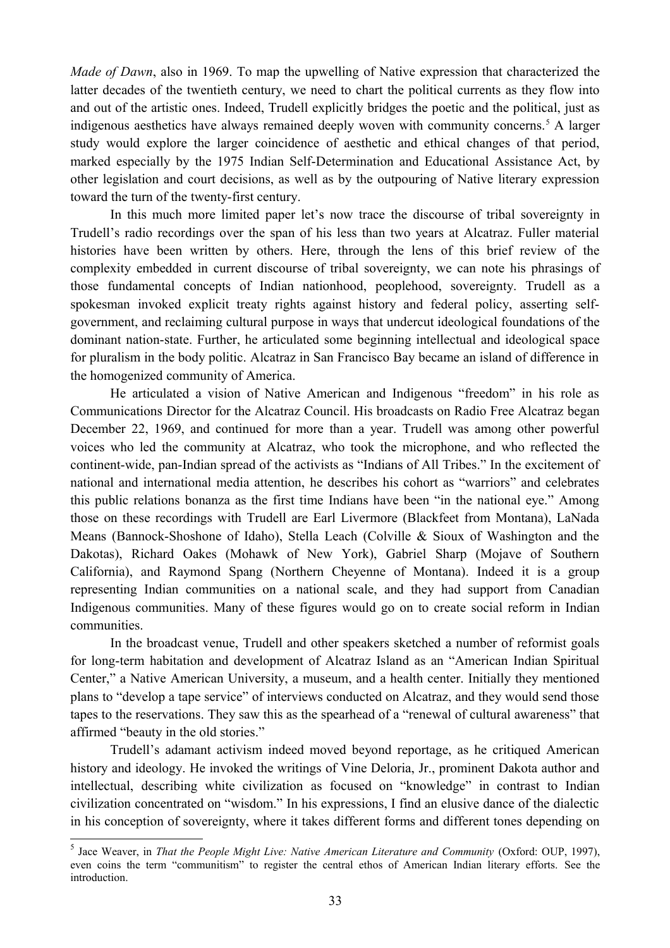*Made of Dawn*, also in 1969. To map the upwelling of Native expression that characterized the latter decades of the twentieth century, we need to chart the political currents as they flow into and out of the artistic ones. Indeed, Trudell explicitly bridges the poetic and the political, just as indigenous aesthetics have always remained deeply woven with community concerns.<sup>[5](#page-3-0)</sup> A larger study would explore the larger coincidence of aesthetic and ethical changes of that period, marked especially by the 1975 Indian Self-Determination and Educational Assistance Act, by other legislation and court decisions, as well as by the outpouring of Native literary expression toward the turn of the twenty-first century.

In this much more limited paper let's now trace the discourse of tribal sovereignty in Trudell's radio recordings over the span of his less than two years at Alcatraz. Fuller material histories have been written by others. Here, through the lens of this brief review of the complexity embedded in current discourse of tribal sovereignty, we can note his phrasings of those fundamental concepts of Indian nationhood, peoplehood, sovereignty. Trudell as a spokesman invoked explicit treaty rights against history and federal policy, asserting selfgovernment, and reclaiming cultural purpose in ways that undercut ideological foundations of the dominant nation-state. Further, he articulated some beginning intellectual and ideological space for pluralism in the body politic. Alcatraz in San Francisco Bay became an island of difference in the homogenized community of America.

He articulated a vision of Native American and Indigenous "freedom" in his role as Communications Director for the Alcatraz Council. His broadcasts on Radio Free Alcatraz began December 22, 1969, and continued for more than a year. Trudell was among other powerful voices who led the community at Alcatraz, who took the microphone, and who reflected the continent-wide, pan-Indian spread of the activists as "Indians of All Tribes." In the excitement of national and international media attention, he describes his cohort as "warriors" and celebrates this public relations bonanza as the first time Indians have been "in the national eye." Among those on these recordings with Trudell are Earl Livermore (Blackfeet from Montana), LaNada Means (Bannock-Shoshone of Idaho), Stella Leach (Colville & Sioux of Washington and the Dakotas), Richard Oakes (Mohawk of New York), Gabriel Sharp (Mojave of Southern California), and Raymond Spang (Northern Cheyenne of Montana). Indeed it is a group representing Indian communities on a national scale, and they had support from Canadian Indigenous communities. Many of these figures would go on to create social reform in Indian communities.

In the broadcast venue, Trudell and other speakers sketched a number of reformist goals for long-term habitation and development of Alcatraz Island as an "American Indian Spiritual Center," a Native American University, a museum, and a health center. Initially they mentioned plans to "develop a tape service" of interviews conducted on Alcatraz, and they would send those tapes to the reservations. They saw this as the spearhead of a "renewal of cultural awareness" that affirmed "beauty in the old stories."

Trudell's adamant activism indeed moved beyond reportage, as he critiqued American history and ideology. He invoked the writings of Vine Deloria, Jr., prominent Dakota author and intellectual, describing white civilization as focused on "knowledge" in contrast to Indian civilization concentrated on "wisdom." In his expressions, I find an elusive dance of the dialectic in his conception of sovereignty, where it takes different forms and different tones depending on

<span id="page-3-0"></span><sup>5</sup> Jace Weaver, in *That the People Might Live: Native American Literature and Community* (Oxford: OUP, 1997), even coins the term "communitism" to register the central ethos of American Indian literary efforts. See the introduction.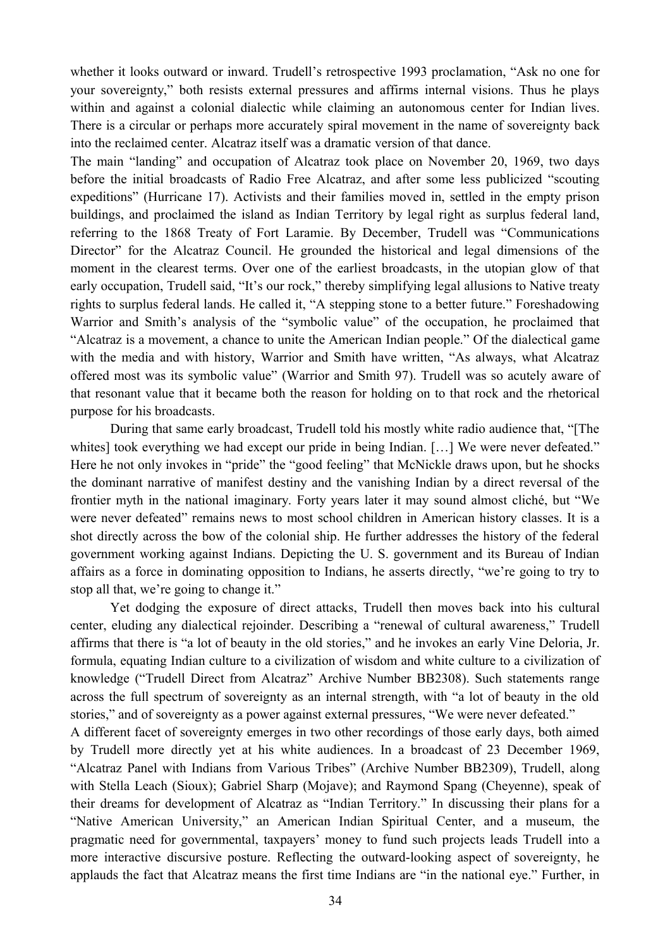whether it looks outward or inward. Trudell's retrospective 1993 proclamation, "Ask no one for your sovereignty," both resists external pressures and affirms internal visions. Thus he plays within and against a colonial dialectic while claiming an autonomous center for Indian lives. There is a circular or perhaps more accurately spiral movement in the name of sovereignty back into the reclaimed center. Alcatraz itself was a dramatic version of that dance.

The main "landing" and occupation of Alcatraz took place on November 20, 1969, two days before the initial broadcasts of Radio Free Alcatraz, and after some less publicized "scouting expeditions" (Hurricane 17). Activists and their families moved in, settled in the empty prison buildings, and proclaimed the island as Indian Territory by legal right as surplus federal land, referring to the 1868 Treaty of Fort Laramie. By December, Trudell was "Communications Director" for the Alcatraz Council. He grounded the historical and legal dimensions of the moment in the clearest terms. Over one of the earliest broadcasts, in the utopian glow of that early occupation, Trudell said, "It's our rock," thereby simplifying legal allusions to Native treaty rights to surplus federal lands. He called it, "A stepping stone to a better future." Foreshadowing Warrior and Smith's analysis of the "symbolic value" of the occupation, he proclaimed that "Alcatraz is a movement, a chance to unite the American Indian people." Of the dialectical game with the media and with history, Warrior and Smith have written, "As always, what Alcatraz offered most was its symbolic value" (Warrior and Smith 97). Trudell was so acutely aware of that resonant value that it became both the reason for holding on to that rock and the rhetorical purpose for his broadcasts.

During that same early broadcast, Trudell told his mostly white radio audience that, "[The whites] took everything we had except our pride in being Indian. [...] We were never defeated." Here he not only invokes in "pride" the "good feeling" that McNickle draws upon, but he shocks the dominant narrative of manifest destiny and the vanishing Indian by a direct reversal of the frontier myth in the national imaginary. Forty years later it may sound almost cliché, but "We were never defeated" remains news to most school children in American history classes. It is a shot directly across the bow of the colonial ship. He further addresses the history of the federal government working against Indians. Depicting the U. S. government and its Bureau of Indian affairs as a force in dominating opposition to Indians, he asserts directly, "we're going to try to stop all that, we're going to change it."

Yet dodging the exposure of direct attacks, Trudell then moves back into his cultural center, eluding any dialectical rejoinder. Describing a "renewal of cultural awareness," Trudell affirms that there is "a lot of beauty in the old stories," and he invokes an early Vine Deloria, Jr. formula, equating Indian culture to a civilization of wisdom and white culture to a civilization of knowledge ("Trudell Direct from Alcatraz" Archive Number BB2308). Such statements range across the full spectrum of sovereignty as an internal strength, with "a lot of beauty in the old stories," and of sovereignty as a power against external pressures, "We were never defeated."

A different facet of sovereignty emerges in two other recordings of those early days, both aimed by Trudell more directly yet at his white audiences. In a broadcast of 23 December 1969, "Alcatraz Panel with Indians from Various Tribes" (Archive Number BB2309), Trudell, along with Stella Leach (Sioux); Gabriel Sharp (Mojave); and Raymond Spang (Cheyenne), speak of their dreams for development of Alcatraz as "Indian Territory." In discussing their plans for a "Native American University," an American Indian Spiritual Center, and a museum, the pragmatic need for governmental, taxpayers' money to fund such projects leads Trudell into a more interactive discursive posture. Reflecting the outward-looking aspect of sovereignty, he applauds the fact that Alcatraz means the first time Indians are "in the national eye." Further, in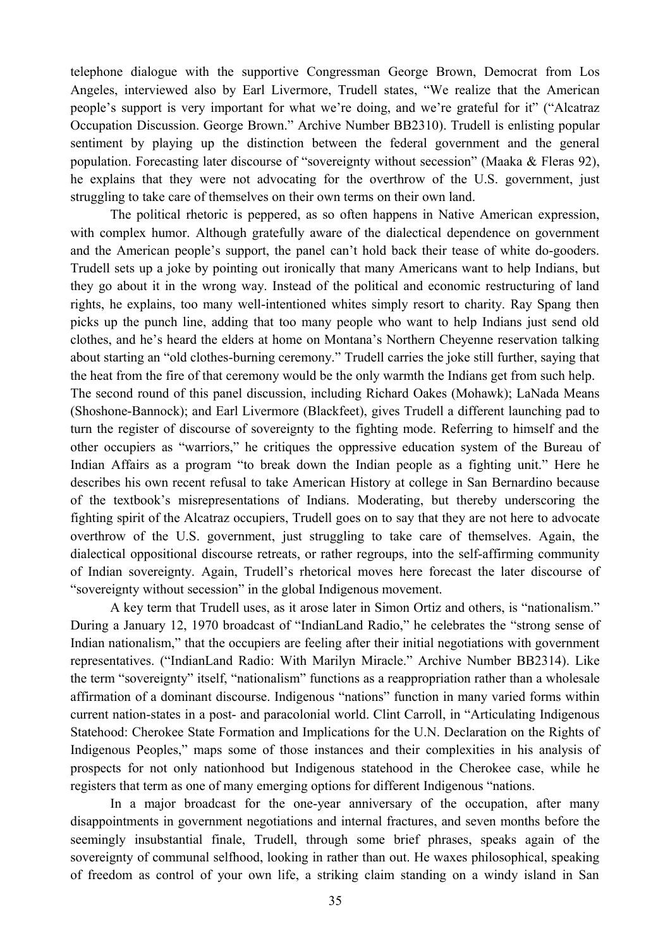telephone dialogue with the supportive Congressman George Brown, Democrat from Los Angeles, interviewed also by Earl Livermore, Trudell states, "We realize that the American people's support is very important for what we're doing, and we're grateful for it" ("Alcatraz Occupation Discussion. George Brown." Archive Number BB2310). Trudell is enlisting popular sentiment by playing up the distinction between the federal government and the general population. Forecasting later discourse of "sovereignty without secession" (Maaka & Fleras 92), he explains that they were not advocating for the overthrow of the U.S. government, just struggling to take care of themselves on their own terms on their own land.

The political rhetoric is peppered, as so often happens in Native American expression, with complex humor. Although gratefully aware of the dialectical dependence on government and the American people's support, the panel can't hold back their tease of white do-gooders. Trudell sets up a joke by pointing out ironically that many Americans want to help Indians, but they go about it in the wrong way. Instead of the political and economic restructuring of land rights, he explains, too many well-intentioned whites simply resort to charity. Ray Spang then picks up the punch line, adding that too many people who want to help Indians just send old clothes, and he's heard the elders at home on Montana's Northern Cheyenne reservation talking about starting an "old clothes-burning ceremony." Trudell carries the joke still further, saying that the heat from the fire of that ceremony would be the only warmth the Indians get from such help. The second round of this panel discussion, including Richard Oakes (Mohawk); LaNada Means

(Shoshone-Bannock); and Earl Livermore (Blackfeet), gives Trudell a different launching pad to turn the register of discourse of sovereignty to the fighting mode. Referring to himself and the other occupiers as "warriors," he critiques the oppressive education system of the Bureau of Indian Affairs as a program "to break down the Indian people as a fighting unit." Here he describes his own recent refusal to take American History at college in San Bernardino because of the textbook's misrepresentations of Indians. Moderating, but thereby underscoring the fighting spirit of the Alcatraz occupiers, Trudell goes on to say that they are not here to advocate overthrow of the U.S. government, just struggling to take care of themselves. Again, the dialectical oppositional discourse retreats, or rather regroups, into the self-affirming community of Indian sovereignty. Again, Trudell's rhetorical moves here forecast the later discourse of "sovereignty without secession" in the global Indigenous movement.

A key term that Trudell uses, as it arose later in Simon Ortiz and others, is "nationalism." During a January 12, 1970 broadcast of "IndianLand Radio," he celebrates the "strong sense of Indian nationalism," that the occupiers are feeling after their initial negotiations with government representatives. ("IndianLand Radio: With Marilyn Miracle." Archive Number BB2314). Like the term "sovereignty" itself, "nationalism" functions as a reappropriation rather than a wholesale affirmation of a dominant discourse. Indigenous "nations" function in many varied forms within current nation-states in a post- and paracolonial world. Clint Carroll, in "Articulating Indigenous Statehood: Cherokee State Formation and Implications for the U.N. Declaration on the Rights of Indigenous Peoples," maps some of those instances and their complexities in his analysis of prospects for not only nationhood but Indigenous statehood in the Cherokee case, while he registers that term as one of many emerging options for different Indigenous "nations.

In a major broadcast for the one-year anniversary of the occupation, after many disappointments in government negotiations and internal fractures, and seven months before the seemingly insubstantial finale, Trudell, through some brief phrases, speaks again of the sovereignty of communal selfhood, looking in rather than out. He waxes philosophical, speaking of freedom as control of your own life, a striking claim standing on a windy island in San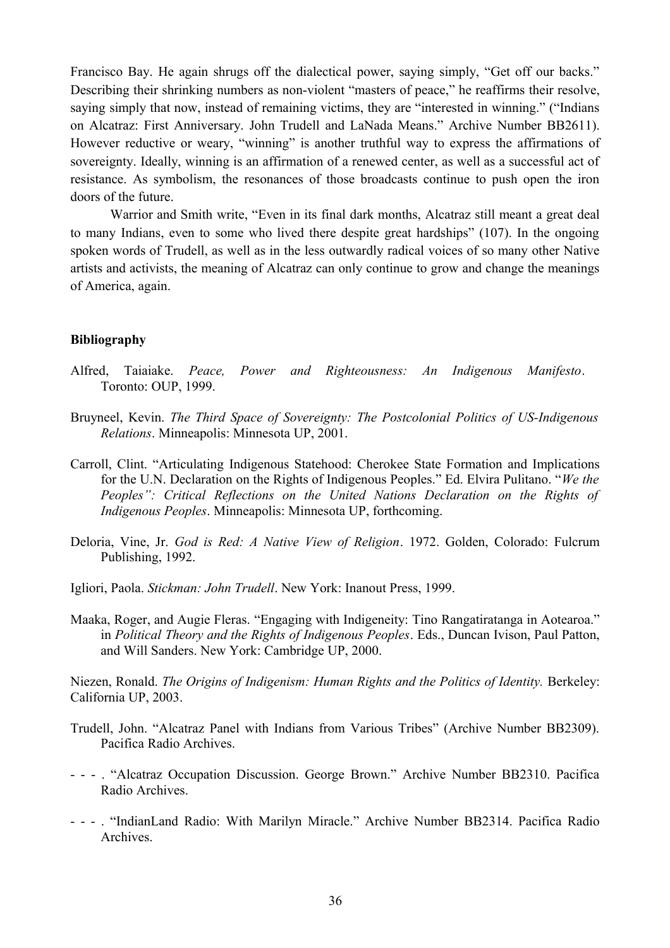Francisco Bay. He again shrugs off the dialectical power, saying simply, "Get off our backs." Describing their shrinking numbers as non-violent "masters of peace," he reaffirms their resolve, saying simply that now, instead of remaining victims, they are "interested in winning." ("Indians on Alcatraz: First Anniversary. John Trudell and LaNada Means." Archive Number BB2611). However reductive or weary, "winning" is another truthful way to express the affirmations of sovereignty. Ideally, winning is an affirmation of a renewed center, as well as a successful act of resistance. As symbolism, the resonances of those broadcasts continue to push open the iron doors of the future.

Warrior and Smith write, "Even in its final dark months, Alcatraz still meant a great deal to many Indians, even to some who lived there despite great hardships" (107). In the ongoing spoken words of Trudell, as well as in the less outwardly radical voices of so many other Native artists and activists, the meaning of Alcatraz can only continue to grow and change the meanings of America, again.

## **Bibliography**

- Alfred, Taiaiake. *Peace, Power and Righteousness: An Indigenous Manifesto*. Toronto: OUP, 1999.
- Bruyneel, Kevin. *The Third Space of Sovereignty: The Postcolonial Politics of US-Indigenous Relations*. Minneapolis: Minnesota UP, 2001.
- Carroll, Clint. "Articulating Indigenous Statehood: Cherokee State Formation and Implications for the U.N. Declaration on the Rights of Indigenous Peoples." Ed. Elvira Pulitano. "*We the Peoples": Critical Reflections on the United Nations Declaration on the Rights of Indigenous Peoples*. Minneapolis: Minnesota UP, forthcoming.
- Deloria, Vine, Jr. *God is Red: A Native View of Religion*. 1972. Golden, Colorado: Fulcrum Publishing, 1992.
- Igliori, Paola. *Stickman: John Trudell*. New York: Inanout Press, 1999.
- Maaka, Roger, and Augie Fleras. "Engaging with Indigeneity: Tino Rangatiratanga in Aotearoa." in *Political Theory and the Rights of Indigenous Peoples*. Eds., Duncan Ivison, Paul Patton, and Will Sanders. New York: Cambridge UP, 2000.

Niezen, Ronald. *The Origins of Indigenism: Human Rights and the Politics of Identity.* Berkeley: California UP, 2003.

- Trudell, John. "Alcatraz Panel with Indians from Various Tribes" (Archive Number BB2309). Pacifica Radio Archives.
- - . "Alcatraz Occupation Discussion. George Brown." Archive Number BB2310. Pacifica Radio Archives.
- - . "IndianLand Radio: With Marilyn Miracle." Archive Number BB2314. Pacifica Radio Archives.